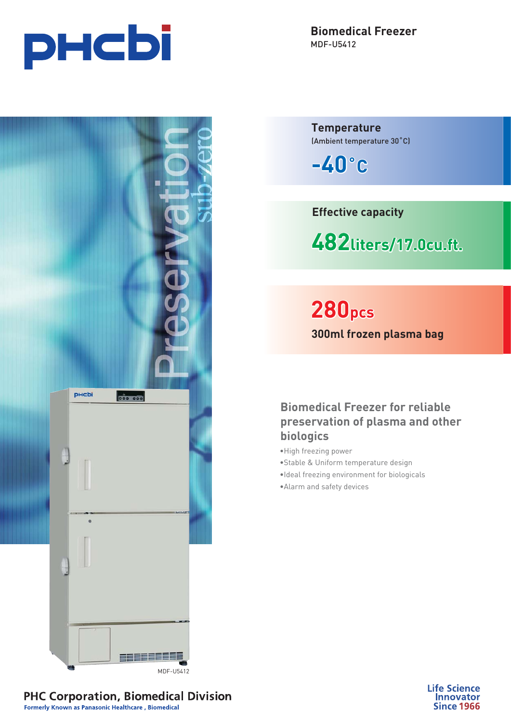

**Biomedical Freezer** MDF-U5412

**Temperature** (Ambient temperature 30˚C)

**-40˚C**

**Effective capacity**

**482liters/17.0cu.ft. liters/17.0cu.ft.iters/17.0cu.ft.**

**280pcs 300ml frozen plasma bag**

**Biomedical Freezer for reliable preservation of plasma and other biologics**

- •High freezing power
- •Stable & Uniform temperature design
- •Ideal freezing environment for biologicals
- •Alarm and safety devices



**Life Science Innovator Since 1966** 

**PHC Corporation, Biomedical Division** Formerly Known as Panasonic Healthcare, Biomedical